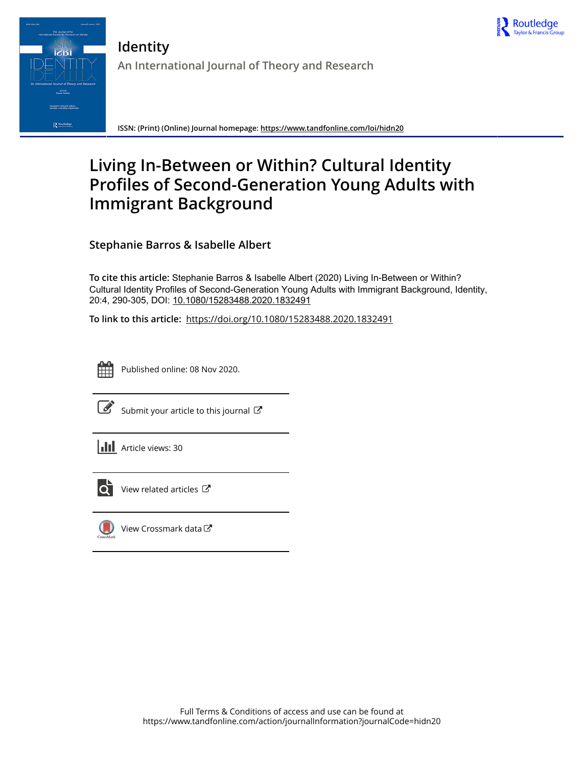



**ISSN: (Print) (Online) Journal homepage:<https://www.tandfonline.com/loi/hidn20>**

# **Living In-Between or Within? Cultural Identity Profiles of Second-Generation Young Adults with Immigrant Background**

**Stephanie Barros & Isabelle Albert**

**To cite this article:** Stephanie Barros & Isabelle Albert (2020) Living In-Between or Within? Cultural Identity Profiles of Second-Generation Young Adults with Immigrant Background, Identity, 20:4, 290-305, DOI: [10.1080/15283488.2020.1832491](https://www.tandfonline.com/action/showCitFormats?doi=10.1080/15283488.2020.1832491)

**To link to this article:** <https://doi.org/10.1080/15283488.2020.1832491>



Published online: 08 Nov 2020.



 $\overrightarrow{S}$  [Submit your article to this journal](https://www.tandfonline.com/action/authorSubmission?journalCode=hidn20&show=instructions)  $\overrightarrow{S}$ 





 $\overrightarrow{Q}$  [View related articles](https://www.tandfonline.com/doi/mlt/10.1080/15283488.2020.1832491)  $\overrightarrow{C}$ 



[View Crossmark data](http://crossmark.crossref.org/dialog/?doi=10.1080/15283488.2020.1832491&domain=pdf&date_stamp=2020-11-08)  $\mathbb{Z}$